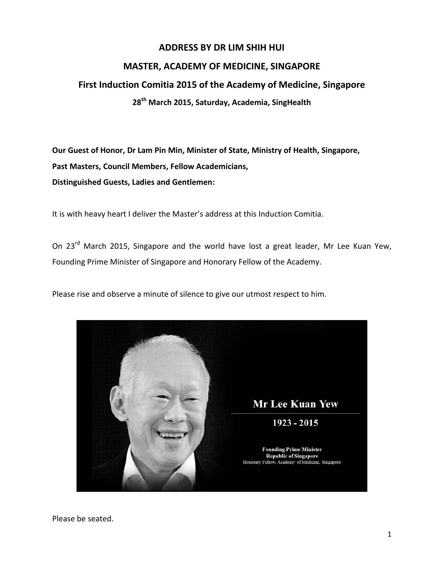## **ADDRESS BY DR LIM SHIH HUI**

## **MASTER, ACADEMY OF MEDICINE, SINGAPORE**

## **First Induction Comitia 2015 of the Academy of Medicine, Singapore 28th March 2015, Saturday, Academia, SingHealth**

**Our Guest of Honor, Dr Lam Pin Min, Minister of State, Ministry of Health, Singapore, Past Masters, Council Members, Fellow Academicians, Distinguished Guests, Ladies and Gentlemen:**

It is with heavy heart I deliver the Master's address at this Induction Comitia.

On 23<sup>rd</sup> March 2015, Singapore and the world have lost a great leader, Mr Lee Kuan Yew, Founding Prime Minister of Singapore and Honorary Fellow of the Academy.

Please rise and observe a minute of silence to give our utmost respect to him.



Please be seated.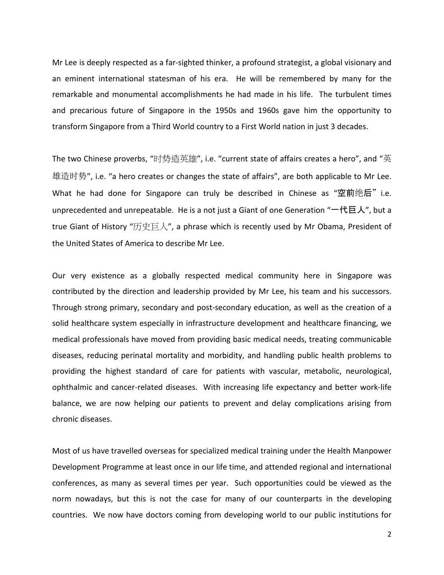Mr Lee is deeply respected as a far-sighted thinker, a profound strategist, a global visionary and an eminent international statesman of his era. He will be remembered by many for the remarkable and monumental accomplishments he had made in his life. The turbulent times and precarious future of Singapore in the 1950s and 1960s gave him the opportunity to transform Singapore from a Third World country to a First World nation in just 3 decades.

The two Chinese proverbs, "时势造英雄", i.e. "current state of affairs creates a hero", and "英 雄造时势", i.e. "a hero creates or changes the state of affairs", are both applicable to Mr Lee. What he had done for Singapore can truly be described in Chinese as "空前绝后" i.e. unprecedented and unrepeatable. He is a not just a Giant of one Generation "一代巨人", but a true Giant of History "历史巨人", a phrase which is recently used by Mr Obama, President of the United States of America to describe Mr Lee.

Our very existence as a globally respected medical community here in Singapore was contributed by the direction and leadership provided by Mr Lee, his team and his successors. Through strong primary, secondary and post-secondary education, as well as the creation of a solid healthcare system especially in infrastructure development and healthcare financing, we medical professionals have moved from providing basic medical needs, treating communicable diseases, reducing perinatal mortality and morbidity, and handling public health problems to providing the highest standard of care for patients with vascular, metabolic, neurological, ophthalmic and cancer-related diseases. With increasing life expectancy and better work-life balance, we are now helping our patients to prevent and delay complications arising from chronic diseases.

Most of us have travelled overseas for specialized medical training under the Health Manpower Development Programme at least once in our life time, and attended regional and international conferences, as many as several times per year. Such opportunities could be viewed as the norm nowadays, but this is not the case for many of our counterparts in the developing countries. We now have doctors coming from developing world to our public institutions for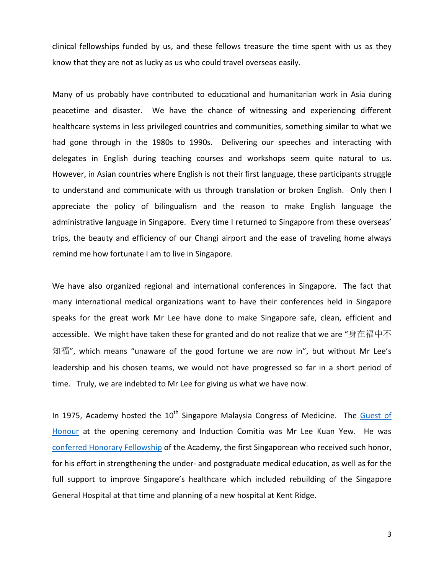clinical fellowships funded by us, and these fellows treasure the time spent with us as they know that they are not as lucky as us who could travel overseas easily.

Many of us probably have contributed to educational and humanitarian work in Asia during peacetime and disaster. We have the chance of witnessing and experiencing different healthcare systems in less privileged countries and communities, something similar to what we had gone through in the 1980s to 1990s. Delivering our speeches and interacting with delegates in English during teaching courses and workshops seem quite natural to us. However, in Asian countries where English is not their first language, these participants struggle to understand and communicate with us through translation or broken English. Only then I appreciate the policy of bilingualism and the reason to make English language the administrative language in Singapore. Every time I returned to Singapore from these overseas' trips, the beauty and efficiency of our Changi airport and the ease of traveling home always remind me how fortunate I am to live in Singapore.

We have also organized regional and international conferences in Singapore. The fact that many international medical organizations want to have their conferences held in Singapore speaks for the great work Mr Lee have done to make Singapore safe, clean, efficient and accessible. We might have taken these for granted and do not realize that we are "身在福中不 知福", which means "unaware of the good fortune we are now in", but without Mr Lee's leadership and his chosen teams, we would not have progressed so far in a short period of time. Truly, we are indebted to Mr Lee for giving us what we have now.

In 1975, Academy hosted the  $10<sup>th</sup>$  Singapore Malaysia Congress of Medicine. The Guest of [Honour](http://ams.edu.sg/viewpic.aspx?file=media%5c590_fi_807.jpg) at the opening ceremony and Induction Comitia was Mr Lee Kuan Yew. He was [conferred Honorary Fellowship](http://ams.edu.sg/view-pdf.aspx?file=media%5c2380_fi_658.pdf&ofile=LKYconferment_AMS_Master_Speech.pdf) of the Academy, the first Singaporean who received such honor, for his effort in strengthening the under- and postgraduate medical education, as well as for the full support to improve Singapore's healthcare which included rebuilding of the Singapore General Hospital at that time and planning of a new hospital at Kent Ridge.

3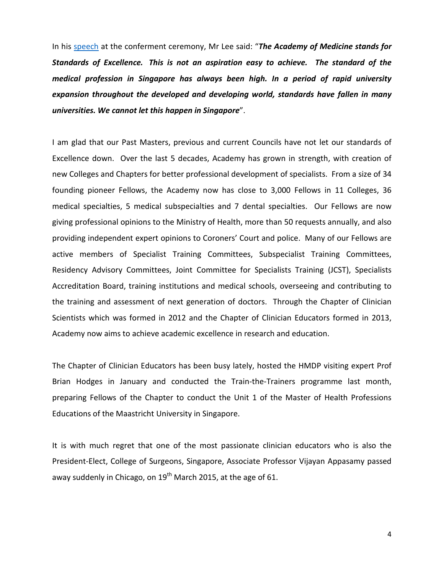In his [speech](http://ams.edu.sg/view-pdf.aspx?file=media%5c2378_fi_136.pdf&ofile=LKY_speech.pdf) at the conferment ceremony, Mr Lee said: "*The Academy of Medicine stands for Standards of Excellence. This is not an aspiration easy to achieve. The standard of the medical profession in Singapore has always been high. In a period of rapid university expansion throughout the developed and developing world, standards have fallen in many universities. We cannot let this happen in Singapore*".

I am glad that our Past Masters, previous and current Councils have not let our standards of Excellence down. Over the last 5 decades, Academy has grown in strength, with creation of new Colleges and Chapters for better professional development of specialists. From a size of 34 founding pioneer Fellows, the Academy now has close to 3,000 Fellows in 11 Colleges, 36 medical specialties, 5 medical subspecialties and 7 dental specialties. Our Fellows are now giving professional opinions to the Ministry of Health, more than 50 requests annually, and also providing independent expert opinions to Coroners' Court and police. Many of our Fellows are active members of Specialist Training Committees, Subspecialist Training Committees, Residency Advisory Committees, Joint Committee for Specialists Training (JCST), Specialists Accreditation Board, training institutions and medical schools, overseeing and contributing to the training and assessment of next generation of doctors. Through the Chapter of Clinician Scientists which was formed in 2012 and the Chapter of Clinician Educators formed in 2013, Academy now aims to achieve academic excellence in research and education.

The Chapter of Clinician Educators has been busy lately, hosted the HMDP visiting expert Prof Brian Hodges in January and conducted the Train-the-Trainers programme last month, preparing Fellows of the Chapter to conduct the Unit 1 of the Master of Health Professions Educations of the Maastricht University in Singapore.

It is with much regret that one of the most passionate clinician educators who is also the President-Elect, College of Surgeons, Singapore, Associate Professor Vijayan Appasamy passed away suddenly in Chicago, on  $19^{th}$  March 2015, at the age of 61.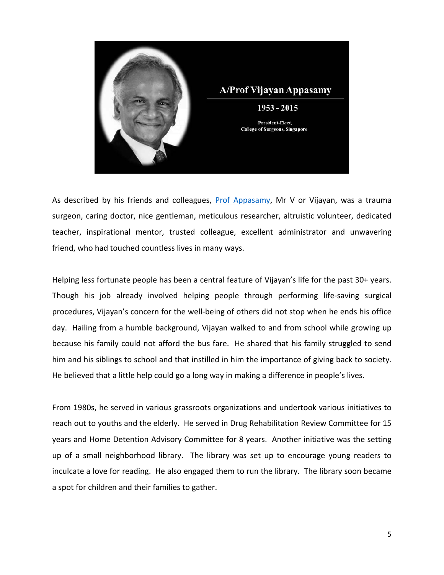

As described by his friends and colleagues, [Prof Appasamy,](http://www.lkcmedicine.ntu.edu.sg/aboutus/facultyandstaff/Education/Pages/Drvijayanappasamy.aspx) Mr V or Vijayan, was a trauma surgeon, caring doctor, nice gentleman, meticulous researcher, altruistic volunteer, dedicated teacher, inspirational mentor, trusted colleague, excellent administrator and unwavering friend, who had touched countless lives in many ways.

Helping less fortunate people has been a central feature of Vijayan's life for the past 30+ years. Though his job already involved helping people through performing life-saving surgical procedures, Vijayan's concern for the well-being of others did not stop when he ends his office day. Hailing from a humble background, Vijayan walked to and from school while growing up because his family could not afford the bus fare. He shared that his family struggled to send him and his siblings to school and that instilled in him the importance of giving back to society. He believed that a little help could go a long way in making a difference in people's lives.

From 1980s, he served in various grassroots organizations and undertook various initiatives to reach out to youths and the elderly. He served in Drug Rehabilitation Review Committee for 15 years and Home Detention Advisory Committee for 8 years. Another initiative was the setting up of a small neighborhood library. The library was set up to encourage young readers to inculcate a love for reading. He also engaged them to run the library. The library soon became a spot for children and their families to gather.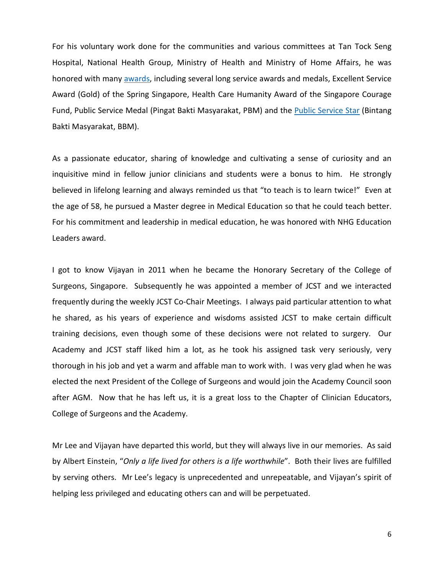For his voluntary work done for the communities and various committees at Tan Tock Seng Hospital, National Health Group, Ministry of Health and Ministry of Home Affairs, he was honored with many [awards,](http://www.lkcmedicine.ntu.edu.sg/aboutus/facultyandstaff/Education/Pages/Drvijayanappasamy.aspx) including several long service awards and medals, Excellent Service Award (Gold) of the Spring Singapore, Health Care Humanity Award of the Singapore Courage Fund, Public Service Medal (Pingat Bakti Masyarakat, PBM) and the [Public Service Star](http://news.nus.edu.sg/highlights/301-congratulations-to-our-national-day-awards-2011-recipients) (Bintang Bakti Masyarakat, BBM).

As a passionate educator, sharing of knowledge and cultivating a sense of curiosity and an inquisitive mind in fellow junior clinicians and students were a bonus to him. He strongly believed in lifelong learning and always reminded us that "to teach is to learn twice!" Even at the age of 58, he pursued a Master degree in Medical Education so that he could teach better. For his commitment and leadership in medical education, he was honored with NHG Education Leaders award.

I got to know Vijayan in 2011 when he became the Honorary Secretary of the College of Surgeons, Singapore. Subsequently he was appointed a member of JCST and we interacted frequently during the weekly JCST Co-Chair Meetings. I always paid particular attention to what he shared, as his years of experience and wisdoms assisted JCST to make certain difficult training decisions, even though some of these decisions were not related to surgery. Our Academy and JCST staff liked him a lot, as he took his assigned task very seriously, very thorough in his job and yet a warm and affable man to work with. I was very glad when he was elected the next President of the College of Surgeons and would join the Academy Council soon after AGM. Now that he has left us, it is a great loss to the Chapter of Clinician Educators, College of Surgeons and the Academy.

Mr Lee and Vijayan have departed this world, but they will always live in our memories. As said by Albert Einstein, "*Only a life lived for others is a life worthwhile*". Both their lives are fulfilled by serving others. Mr Lee's legacy is unprecedented and unrepeatable, and Vijayan's spirit of helping less privileged and educating others can and will be perpetuated.